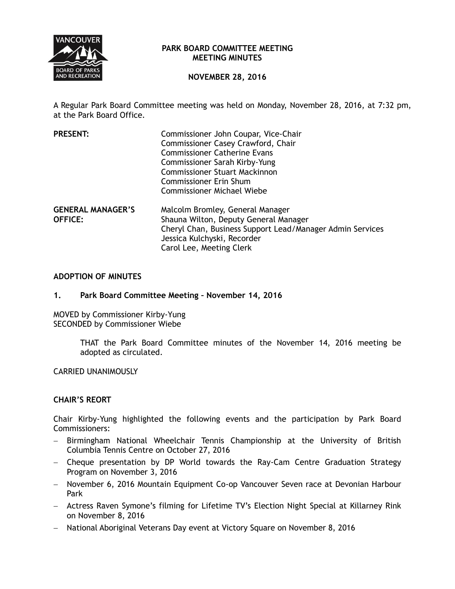

## **PARK BOARD COMMITTEE MEETING MEETING MINUTES**

# **NOVEMBER 28, 2016**

A Regular Park Board Committee meeting was held on Monday, November 28, 2016, at 7:32 pm, at the Park Board Office.

| <b>PRESENT:</b>          | Commissioner John Coupar, Vice-Chair<br>Commissioner Casey Crawford, Chair |
|--------------------------|----------------------------------------------------------------------------|
|                          | <b>Commissioner Catherine Evans</b>                                        |
|                          | Commissioner Sarah Kirby-Yung                                              |
|                          | <b>Commissioner Stuart Mackinnon</b>                                       |
|                          | <b>Commissioner Erin Shum</b>                                              |
|                          | <b>Commissioner Michael Wiebe</b>                                          |
| <b>GENERAL MANAGER'S</b> | Malcolm Bromley, General Manager                                           |
| <b>OFFICE:</b>           | Shauna Wilton, Deputy General Manager                                      |
|                          | Cheryl Chan, Business Support Lead/Manager Admin Services                  |
|                          | Jessica Kulchyski, Recorder                                                |
|                          | Carol Lee, Meeting Clerk                                                   |

## **ADOPTION OF MINUTES**

#### **1. Park Board Committee Meeting – November 14, 2016**

MOVED by Commissioner Kirby-Yung SECONDED by Commissioner Wiebe

> THAT the Park Board Committee minutes of the November 14, 2016 meeting be adopted as circulated.

CARRIED UNANIMOUSLY

## **CHAIR'S REORT**

Chair Kirby-Yung highlighted the following events and the participation by Park Board Commissioners:

- Birmingham National Wheelchair Tennis Championship at the University of British Columbia Tennis Centre on October 27, 2016
- Cheque presentation by DP World towards the Ray-Cam Centre Graduation Strategy Program on November 3, 2016
- November 6, 2016 Mountain Equipment Co-op Vancouver Seven race at Devonian Harbour Park
- Actress Raven Symone's filming for Lifetime TV's Election Night Special at Killarney Rink on November 8, 2016
- National Aboriginal Veterans Day event at Victory Square on November 8, 2016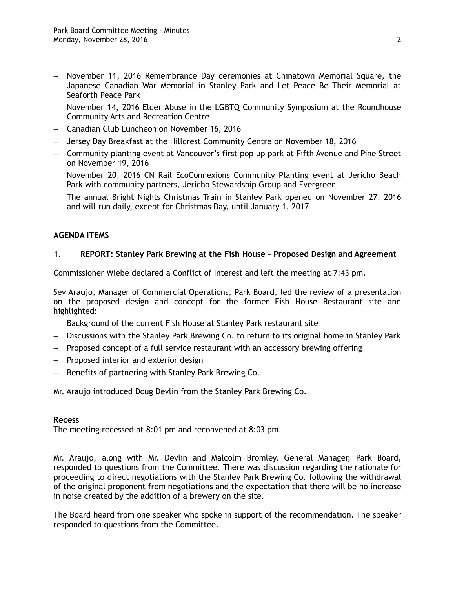- November 11, 2016 Remembrance Day ceremonies at Chinatown Memorial Square, the Japanese Canadian War Memorial in Stanley Park and Let Peace Be Their Memorial at Seaforth Peace Park
- November 14, 2016 Elder Abuse in the LGBTQ Community Symposium at the Roundhouse Community Arts and Recreation Centre
- Canadian Club Luncheon on November 16, 2016
- Jersey Day Breakfast at the Hillcrest Community Centre on November 18, 2016
- Community planting event at Vancouver's first pop up park at Fifth Avenue and Pine Street on November 19, 2016
- November 20, 2016 CN Rail EcoConnexions Community Planting event at Jericho Beach Park with community partners, Jericho Stewardship Group and Evergreen
- The annual Bright Nights Christmas Train in Stanley Park opened on November 27, 2016 and will run daily, except for Christmas Day, until January 1, 2017

# **AGENDA ITEMS**

## **1. REPORT: Stanley Park Brewing at the Fish House – Proposed Design and Agreement**

Commissioner Wiebe declared a Conflict of Interest and left the meeting at 7:43 pm.

Sev Araujo, Manager of Commercial Operations, Park Board, led the review of a presentation on the proposed design and concept for the former Fish House Restaurant site and highlighted:

- Background of the current Fish House at Stanley Park restaurant site
- Discussions with the Stanley Park Brewing Co. to return to its original home in Stanley Park
- Proposed concept of a full service restaurant with an accessory brewing offering
- Proposed interior and exterior design
- Benefits of partnering with Stanley Park Brewing Co.

Mr. Araujo introduced Doug Devlin from the Stanley Park Brewing Co.

#### **Recess**

The meeting recessed at 8:01 pm and reconvened at 8:03 pm.

Mr. Araujo, along with Mr. Devlin and Malcolm Bromley, General Manager, Park Board, responded to questions from the Committee. There was discussion regarding the rationale for proceeding to direct negotiations with the Stanley Park Brewing Co. following the withdrawal of the original proponent from negotiations and the expectation that there will be no increase in noise created by the addition of a brewery on the site.

The Board heard from one speaker who spoke in support of the recommendation. The speaker responded to questions from the Committee.